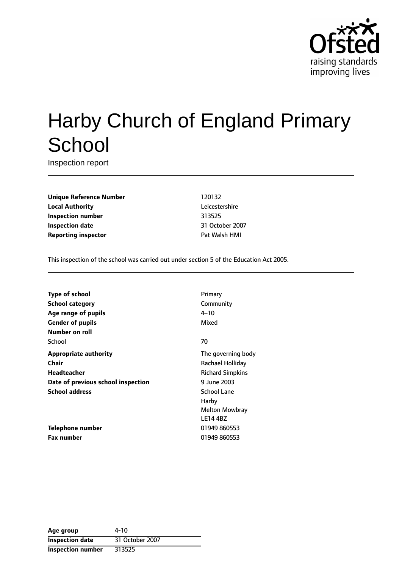

# Harby Church of England Primary **School**

Inspection report

**Unique Reference Number** 120132 **Local Authority** Leicestershire **Inspection number** 313525 **Inspection date** 31 October 2007 **Reporting inspector** Pat Walsh HMI

This inspection of the school was carried out under section 5 of the Education Act 2005.

| <b>Type of school</b>              | Primary                 |
|------------------------------------|-------------------------|
| <b>School category</b>             | Community               |
| Age range of pupils                | $4 - 10$                |
| <b>Gender of pupils</b>            | Mixed                   |
| Number on roll                     |                         |
| School                             | 70                      |
| <b>Appropriate authority</b>       | The governing body      |
| Chair                              | Rachael Holliday        |
| <b>Headteacher</b>                 | <b>Richard Simpkins</b> |
| Date of previous school inspection | 9 June 2003             |
| <b>School address</b>              | <b>School Lane</b>      |
|                                    | Harby                   |
|                                    | <b>Melton Mowbray</b>   |
|                                    | <b>LE14 4BZ</b>         |
| Telephone number                   | 01949 860553            |
| <b>Fax number</b>                  | 01949 860553            |

| Age group                | 4-10            |
|--------------------------|-----------------|
| <b>Inspection date</b>   | 31 October 2007 |
| <b>Inspection number</b> | 313525          |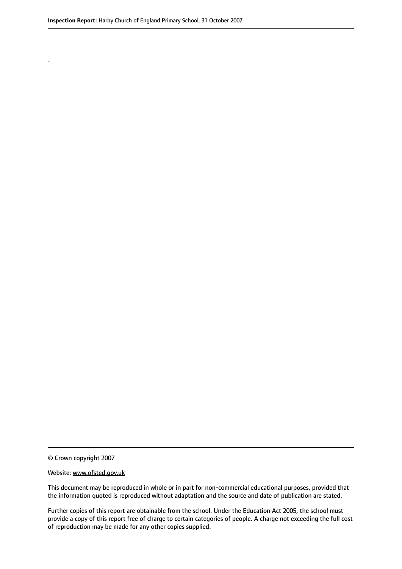.

© Crown copyright 2007

#### Website: www.ofsted.gov.uk

This document may be reproduced in whole or in part for non-commercial educational purposes, provided that the information quoted is reproduced without adaptation and the source and date of publication are stated.

Further copies of this report are obtainable from the school. Under the Education Act 2005, the school must provide a copy of this report free of charge to certain categories of people. A charge not exceeding the full cost of reproduction may be made for any other copies supplied.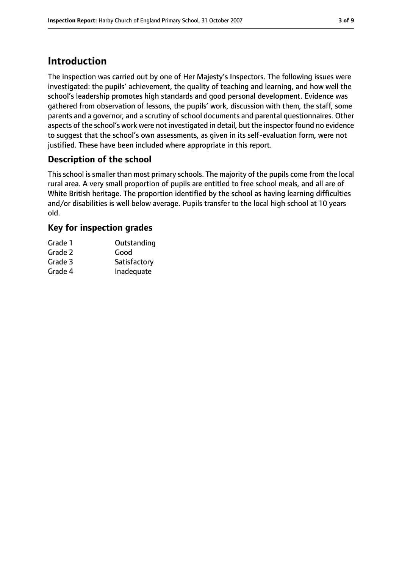## **Introduction**

The inspection was carried out by one of Her Majesty's Inspectors. The following issues were investigated: the pupils' achievement, the quality of teaching and learning, and how well the school's leadership promotes high standards and good personal development. Evidence was gathered from observation of lessons, the pupils' work, discussion with them, the staff, some parents and a governor, and a scrutiny of school documents and parental questionnaires. Other aspects of the school's work were not investigated in detail, but the inspector found no evidence to suggest that the school's own assessments, as given in its self-evaluation form, were not justified. These have been included where appropriate in this report.

### **Description of the school**

This school is smaller than most primary schools. The majority of the pupils come from the local rural area. A very small proportion of pupils are entitled to free school meals, and all are of White British heritage. The proportion identified by the school as having learning difficulties and/or disabilities is well below average. Pupils transfer to the local high school at 10 years old.

#### **Key for inspection grades**

| Grade 1 | Outstanding  |
|---------|--------------|
| Grade 2 | Good         |
| Grade 3 | Satisfactory |
| Grade 4 | Inadequate   |
|         |              |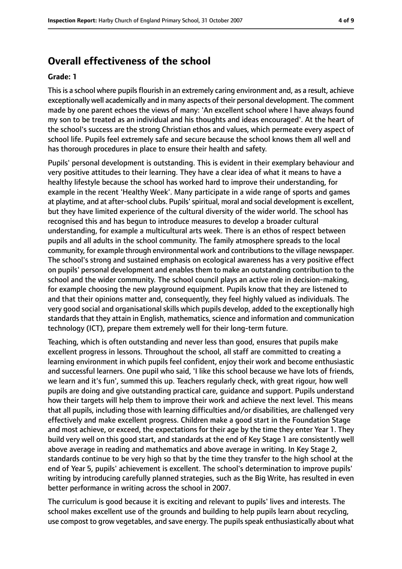## **Overall effectiveness of the school**

#### **Grade: 1**

This is a school where pupils flourish in an extremely caring environment and, as a result, achieve exceptionally well academically and in many aspects of their personal development. The comment made by one parent echoes the views of many: 'An excellent school where I have always found my son to be treated as an individual and his thoughts and ideas encouraged'. At the heart of the school's success are the strong Christian ethos and values, which permeate every aspect of school life. Pupils feel extremely safe and secure because the school knows them all well and has thorough procedures in place to ensure their health and safety.

Pupils' personal development is outstanding. This is evident in their exemplary behaviour and very positive attitudes to their learning. They have a clear idea of what it means to have a healthy lifestyle because the school has worked hard to improve their understanding, for example in the recent 'Healthy Week'. Many participate in a wide range of sports and games at playtime, and at after-school clubs. Pupils'spiritual, moral and social development is excellent, but they have limited experience of the cultural diversity of the wider world. The school has recognised this and has begun to introduce measures to develop a broader cultural understanding, for example a multicultural arts week. There is an ethos of respect between pupils and all adults in the school community. The family atmosphere spreads to the local community, for example through environmental work and contributionsto the village newspaper. The school's strong and sustained emphasis on ecological awareness has a very positive effect on pupils' personal development and enables them to make an outstanding contribution to the school and the wider community. The school council plays an active role in decision-making, for example choosing the new playground equipment. Pupils know that they are listened to and that their opinions matter and, consequently, they feel highly valued as individuals. The very good social and organisational skills which pupils develop, added to the exceptionally high standards that they attain in English, mathematics, science and information and communication technology (ICT), prepare them extremely well for their long-term future.

Teaching, which is often outstanding and never less than good, ensures that pupils make excellent progress in lessons. Throughout the school, all staff are committed to creating a learning environment in which pupils feel confident, enjoy their work and become enthusiastic and successful learners. One pupil who said, 'I like this school because we have lots of friends, we learn and it's fun', summed this up. Teachers regularly check, with great rigour, how well pupils are doing and give outstanding practical care, guidance and support. Pupils understand how their targets will help them to improve their work and achieve the next level. This means that all pupils, including those with learning difficulties and/or disabilities, are challenged very effectively and make excellent progress. Children make a good start in the Foundation Stage and most achieve, or exceed, the expectations for their age by the time they enter Year 1. They build very well on this good start, and standards at the end of Key Stage 1 are consistently well above average in reading and mathematics and above average in writing. In Key Stage 2, standards continue to be very high so that by the time they transfer to the high school at the end of Year 5, pupils' achievement is excellent. The school's determination to improve pupils' writing by introducing carefully planned strategies, such as the Big Write, has resulted in even better performance in writing across the school in 2007.

The curriculum is good because it is exciting and relevant to pupils' lives and interests. The school makes excellent use of the grounds and building to help pupils learn about recycling, use compost to grow vegetables, and save energy. The pupils speak enthusiastically about what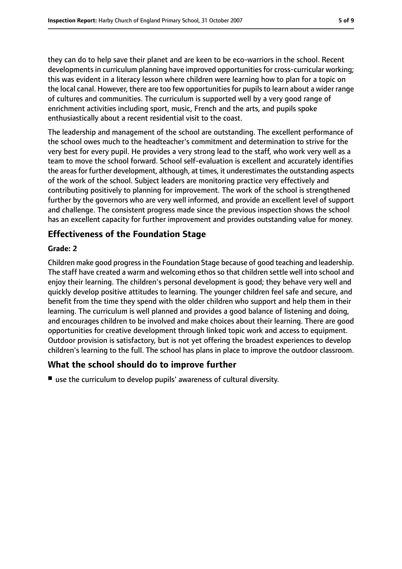they can do to help save their planet and are keen to be eco-warriors in the school. Recent developments in curriculum planning have improved opportunities for cross-curricular working; this was evident in a literacy lesson where children were learning how to plan for a topic on the local canal. However, there are too few opportunities for pupils to learn about a wider range of cultures and communities. The curriculum is supported well by a very good range of enrichment activities including sport, music, French and the arts, and pupils spoke enthusiastically about a recent residential visit to the coast.

The leadership and management of the school are outstanding. The excellent performance of the school owes much to the headteacher's commitment and determination to strive for the very best for every pupil. He provides a very strong lead to the staff, who work very well as a team to move the school forward. School self-evaluation is excellent and accurately identifies the areas for further development, although, at times, it underestimates the outstanding aspects of the work of the school. Subject leaders are monitoring practice very effectively and contributing positively to planning for improvement. The work of the school is strengthened further by the governors who are very well informed, and provide an excellent level of support and challenge. The consistent progress made since the previous inspection shows the school has an excellent capacity for further improvement and provides outstanding value for money.

#### **Effectiveness of the Foundation Stage**

#### **Grade: 2**

Children make good progressin the Foundation Stage because of good teaching and leadership. The staff have created a warm and welcoming ethos so that children settle well into school and enjoy their learning. The children's personal development is good; they behave very well and quickly develop positive attitudes to learning. The younger children feel safe and secure, and benefit from the time they spend with the older children who support and help them in their learning. The curriculum is well planned and provides a good balance of listening and doing, and encourages children to be involved and make choices about their learning. There are good opportunities for creative development through linked topic work and access to equipment. Outdoor provision is satisfactory, but is not yet offering the broadest experiences to develop children's learning to the full. The school has plans in place to improve the outdoor classroom.

#### **What the school should do to improve further**

■ use the curriculum to develop pupils' awareness of cultural diversity.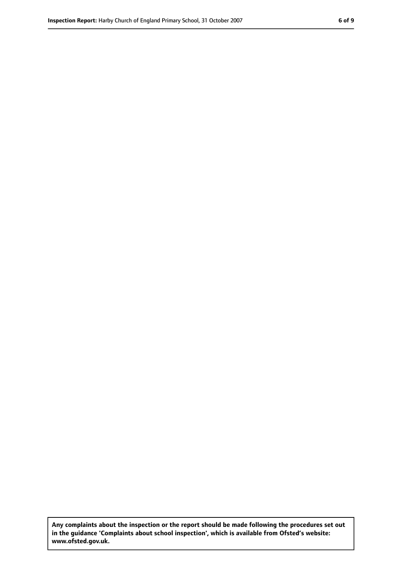**Any complaints about the inspection or the report should be made following the procedures set out in the guidance 'Complaints about school inspection', which is available from Ofsted's website: www.ofsted.gov.uk.**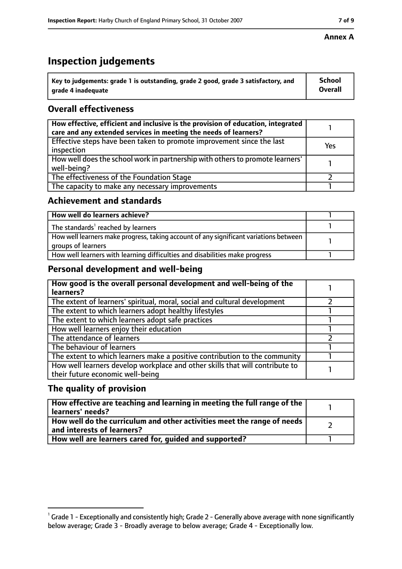# **Inspection judgements**

| $^{\backprime}$ Key to judgements: grade 1 is outstanding, grade 2 good, grade 3 satisfactory, and | <b>School</b>  |
|----------------------------------------------------------------------------------------------------|----------------|
| arade 4 inadequate                                                                                 | <b>Overall</b> |

## **Overall effectiveness**

| How effective, efficient and inclusive is the provision of education, integrated<br>care and any extended services in meeting the needs of learners? |     |
|------------------------------------------------------------------------------------------------------------------------------------------------------|-----|
| Effective steps have been taken to promote improvement since the last<br>inspection                                                                  | Yes |
| How well does the school work in partnership with others to promote learners'<br>well-being?                                                         |     |
| The effectiveness of the Foundation Stage                                                                                                            |     |
| The capacity to make any necessary improvements                                                                                                      |     |

#### **Achievement and standards**

| How well do learners achieve?                                                                               |  |
|-------------------------------------------------------------------------------------------------------------|--|
| The standards <sup>1</sup> reached by learners                                                              |  |
| How well learners make progress, taking account of any significant variations between<br>groups of learners |  |
| How well learners with learning difficulties and disabilities make progress                                 |  |

### **Personal development and well-being**

| How good is the overall personal development and well-being of the<br>learners?                                  |  |
|------------------------------------------------------------------------------------------------------------------|--|
| The extent of learners' spiritual, moral, social and cultural development                                        |  |
| The extent to which learners adopt healthy lifestyles                                                            |  |
| The extent to which learners adopt safe practices                                                                |  |
| How well learners enjoy their education                                                                          |  |
| The attendance of learners                                                                                       |  |
| The behaviour of learners                                                                                        |  |
| The extent to which learners make a positive contribution to the community                                       |  |
| How well learners develop workplace and other skills that will contribute to<br>their future economic well-being |  |

### **The quality of provision**

| How effective are teaching and learning in meeting the full range of the<br>learners' needs?          |  |
|-------------------------------------------------------------------------------------------------------|--|
| How well do the curriculum and other activities meet the range of needs<br>and interests of learners? |  |
| How well are learners cared for, guided and supported?                                                |  |

#### **Annex A**

 $^1$  Grade 1 - Exceptionally and consistently high; Grade 2 - Generally above average with none significantly below average; Grade 3 - Broadly average to below average; Grade 4 - Exceptionally low.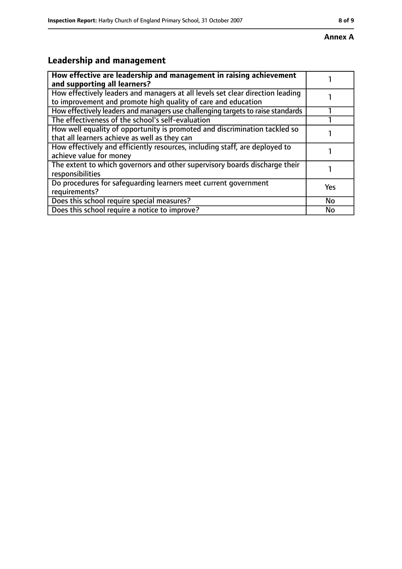# **Leadership and management**

| How effective are leadership and management in raising achievement<br>and supporting all learners?                                              |     |
|-------------------------------------------------------------------------------------------------------------------------------------------------|-----|
| How effectively leaders and managers at all levels set clear direction leading<br>to improvement and promote high quality of care and education |     |
| How effectively leaders and managers use challenging targets to raise standards                                                                 |     |
| The effectiveness of the school's self-evaluation                                                                                               |     |
| How well equality of opportunity is promoted and discrimination tackled so<br>that all learners achieve as well as they can                     |     |
| How effectively and efficiently resources, including staff, are deployed to<br>achieve value for money                                          |     |
| The extent to which governors and other supervisory boards discharge their<br>responsibilities                                                  |     |
| Do procedures for safequarding learners meet current government<br>requirements?                                                                | Yes |
| Does this school require special measures?                                                                                                      | No  |
| Does this school require a notice to improve?                                                                                                   | No  |